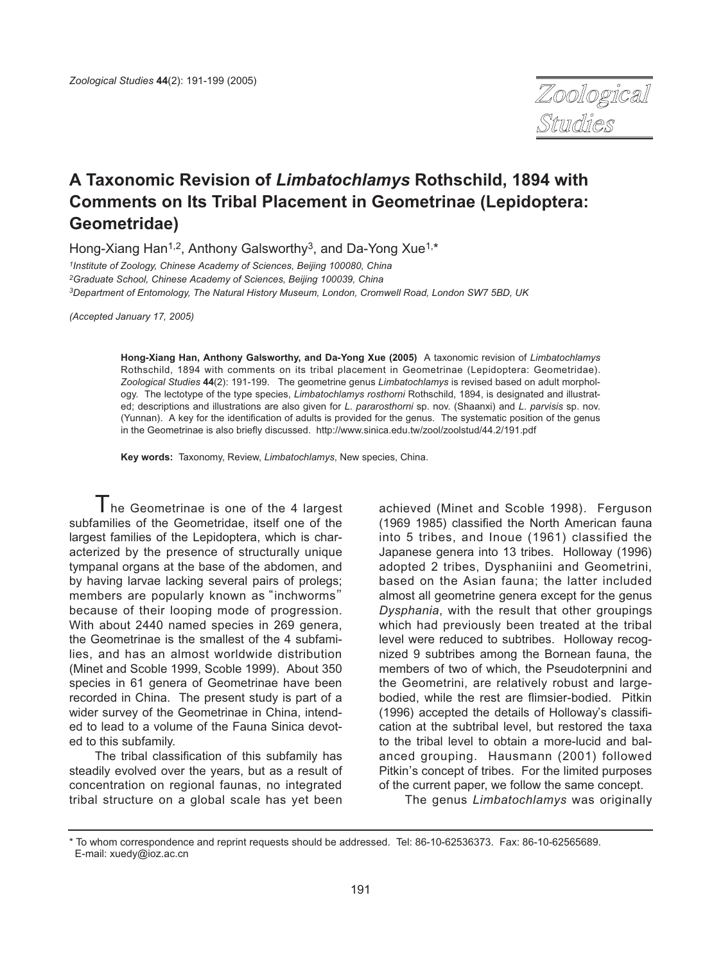

# **A Taxonomic Revision of Limbatochlamys Rothschild, 1894 with Comments on Its Tribal Placement in Geometrinae (Lepidoptera: Geometridae)**

Hong-Xiang Han<sup>1,2</sup>, Anthony Galsworthy<sup>3</sup>, and Da-Yong Xue<sup>1,\*</sup>

<sup>1</sup>Institute of Zoology, Chinese Academy of Sciences, Beijing 100080, China <sup>2</sup>Graduate School, Chinese Academy of Sciences, Beijing 100039, China 3Department of Entomology, The Natural History Museum, London, Cromwell Road, London SW7 5BD, UK

(Accepted January 17, 2005)

**Hong-Xiang Han, Anthony Galsworthy, and Da-Yong Xue (2005)** A taxonomic revision of Limbatochlamys Rothschild, 1894 with comments on its tribal placement in Geometrinae (Lepidoptera: Geometridae). Zoological Studies **44**(2): 191-199. The geometrine genus Limbatochlamys is revised based on adult morphology. The lectotype of the type species, Limbatochlamys rosthorni Rothschild, 1894, is designated and illustrated; descriptions and illustrations are also given for L. pararosthorni sp. nov. (Shaanxi) and L. parvisis sp. nov. (Yunnan). A key for the identification of adults is provided for the genus. The systematic position of the genus in the Geometrinae is also briefly discussed. http://www.sinica.edu.tw/zool/zoolstud/44.2/191.pdf

**Key words:** Taxonomy, Review, Limbatochlamys, New species, China.

 $T$ he Geometrinae is one of the 4 largest subfamilies of the Geometridae, itself one of the largest families of the Lepidoptera, which is characterized by the presence of structurally unique tympanal organs at the base of the abdomen, and by having larvae lacking several pairs of prolegs; members are popularly known as "inchworms" because of their looping mode of progression. With about 2440 named species in 269 genera, the Geometrinae is the smallest of the 4 subfamilies, and has an almost worldwide distribution (Minet and Scoble 1999, Scoble 1999). About 350 species in 61 genera of Geometrinae have been recorded in China. The present study is part of a wider survey of the Geometrinae in China, intended to lead to a volume of the Fauna Sinica devoted to this subfamily.

The tribal classification of this subfamily has steadily evolved over the years, but as a result of concentration on regional faunas, no integrated tribal structure on a global scale has yet been achieved (Minet and Scoble 1998). Ferguson (1969 1985) classified the North American fauna into 5 tribes, and Inoue (1961) classified the Japanese genera into 13 tribes. Holloway (1996) adopted 2 tribes, Dysphaniini and Geometrini, based on the Asian fauna; the latter included almost all geometrine genera except for the genus Dysphania, with the result that other groupings which had previously been treated at the tribal level were reduced to subtribes. Holloway recognized 9 subtribes among the Bornean fauna, the members of two of which, the Pseudoterpnini and the Geometrini, are relatively robust and largebodied, while the rest are flimsier-bodied. Pitkin (1996) accepted the details of Holloway, s classification at the subtribal level, but restored the taxa to the tribal level to obtain a more-lucid and balanced grouping. Hausmann (2001) followed Pitkin, s concept of tribes. For the limited purposes of the current paper, we follow the same concept.

The genus Limbatochlamys was originally

<sup>\*</sup> To whom correspondence and reprint requests should be addressed. Tel: 86-10-62536373. Fax: 86-10-62565689. E-mail: xuedy@ioz.ac.cn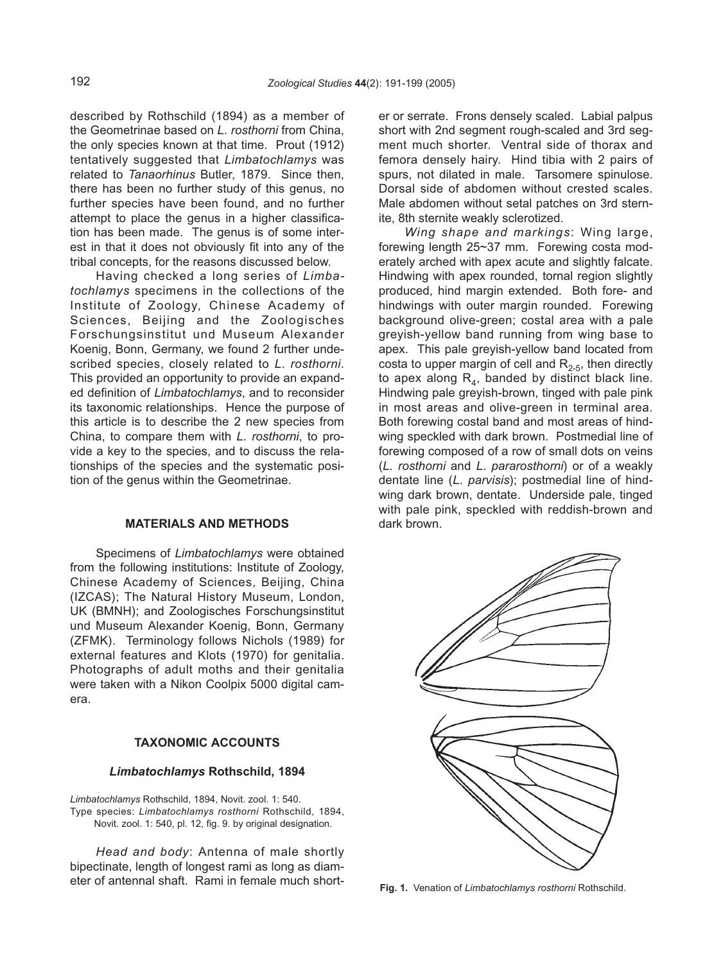described by Rothschild (1894) as a member of the Geometrinae based on L. rosthorni from China, the only species known at that time. Prout (1912) tentatively suggested that Limbatochlamys was related to Tanaorhinus Butler, 1879. Since then, there has been no further study of this genus, no further species have been found, and no further attempt to place the genus in a higher classification has been made. The genus is of some interest in that it does not obviously fit into any of the tribal concepts, for the reasons discussed below.

Having checked a long series of Limbatochlamys specimens in the collections of the Institute of Zoology, Chinese Academy of Sciences, Beijing and the Zoologisches Forschungsinstitut und Museum Alexander Koenig, Bonn, Germany, we found 2 further undescribed species, closely related to L. rosthorni. This provided an opportunity to provide an expanded definition of Limbatochlamys, and to reconsider its taxonomic relationships. Hence the purpose of this article is to describe the 2 new species from China, to compare them with L. rosthorni, to provide a key to the species, and to discuss the relationships of the species and the systematic position of the genus within the Geometrinae.

#### **MATERIALS AND METHODS**

Specimens of Limbatochlamys were obtained from the following institutions: Institute of Zoology, Chinese Academy of Sciences, Beijing, China (IZCAS); The Natural History Museum, London, UK (BMNH); and Zoologisches Forschungsinstitut und Museum Alexander Koenig, Bonn, Germany (ZFMK). Terminology follows Nichols (1989) for external features and Klots (1970) for genitalia. Photographs of adult moths and their genitalia were taken with a Nikon Coolpix 5000 digital camera.

## **TAXONOMIC ACCOUNTS**

#### **Limbatochlamys Rothschild, 1894**

Limbatochlamys Rothschild, 1894, Novit. zool. 1: 540. Type species: Limbatochlamys rosthorni Rothschild, 1894, Novit. zool. 1: 540, pl. 12, fig. 9. by original designation.

Head and body: Antenna of male shortly bipectinate, length of longest rami as long as diameter of antennal shaft. Rami in female much shorter or serrate. Frons densely scaled. Labial palpus short with 2nd segment rough-scaled and 3rd segment much shorter. Ventral side of thorax and femora densely hairy. Hind tibia with 2 pairs of spurs, not dilated in male. Tarsomere spinulose. Dorsal side of abdomen without crested scales. Male abdomen without setal patches on 3rd sternite, 8th sternite weakly sclerotized.

Wing shape and markings: Wing large, forewing length 25~37 mm. Forewing costa moderately arched with apex acute and slightly falcate. Hindwing with apex rounded, tornal region slightly produced, hind margin extended. Both fore- and hindwings with outer margin rounded. Forewing background olive-green; costal area with a pale greyish-yellow band running from wing base to apex. This pale greyish-yellow band located from costa to upper margin of cell and  $R_{2.5}$ , then directly to apex along  $R<sub>4</sub>$ , banded by distinct black line. Hindwing pale greyish-brown, tinged with pale pink in most areas and olive-green in terminal area. Both forewing costal band and most areas of hindwing speckled with dark brown. Postmedial line of forewing composed of a row of small dots on veins (L. rosthorni and L. pararosthorni) or of a weakly dentate line (L. parvisis); postmedial line of hindwing dark brown, dentate. Underside pale, tinged with pale pink, speckled with reddish-brown and dark brown.



**Fig. 1.** Venation of Limbatochlamys rosthorni Rothschild.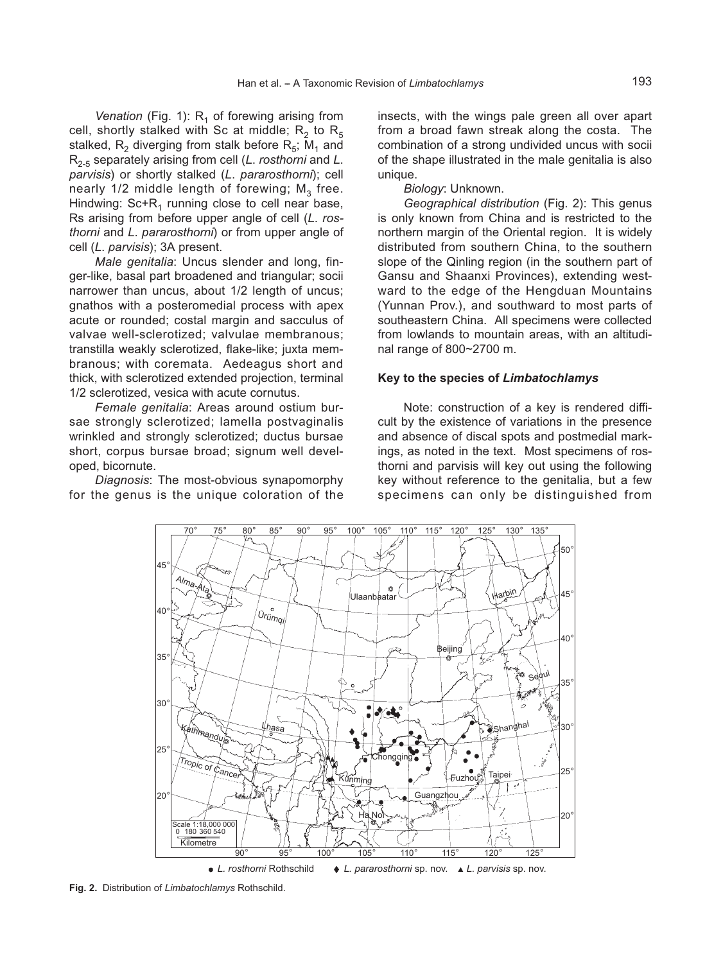Venation (Fig. 1):  $R_1$  of forewing arising from cell, shortly stalked with Sc at middle;  $R_2$  to  $R_5$ stalked,  $R_2$  diverging from stalk before  $R_5$ ; M<sub>1</sub> and  $R_{2-5}$  separately arising from cell (L. rosthorni and L. parvisis) or shortly stalked (L. pararosthorni); cell nearly  $1/2$  middle length of forewing;  $M<sub>3</sub>$  free. Hindwing:  $Sc+R_1$  running close to cell near base, Rs arising from before upper angle of cell (L. rosthorni and L. pararosthorni) or from upper angle of cell (L. parvisis); 3A present.

Male genitalia: Uncus slender and long, finger-like, basal part broadened and triangular; socii narrower than uncus, about 1/2 length of uncus; gnathos with a posteromedial process with apex acute or rounded; costal margin and sacculus of valvae well-sclerotized; valvulae membranous; transtilla weakly sclerotized, flake-like; juxta membranous; with coremata. Aedeagus short and thick, with sclerotized extended projection, terminal 1/2 sclerotized, vesica with acute cornutus.

Female genitalia: Areas around ostium bursae strongly sclerotized; lamella postvaginalis wrinkled and strongly sclerotized; ductus bursae short, corpus bursae broad; signum well developed, bicornute.

Diagnosis: The most-obvious synapomorphy for the genus is the unique coloration of the insects, with the wings pale green all over apart from a broad fawn streak along the costa. The combination of a strong undivided uncus with socii of the shape illustrated in the male genitalia is also unique.

#### Biology: Unknown.

Geographical distribution (Fig. 2): This genus is only known from China and is restricted to the northern margin of the Oriental region. It is widely distributed from southern China, to the southern slope of the Qinling region (in the southern part of Gansu and Shaanxi Provinces), extending westward to the edge of the Hengduan Mountains (Yunnan Prov.), and southward to most parts of southeastern China. All specimens were collected from lowlands to mountain areas, with an altitudinal range of 800~2700 m.

#### **Key to the species of Limbatochlamys**

Note: construction of a key is rendered difficult by the existence of variations in the presence and absence of discal spots and postmedial markings, as noted in the text. Most specimens of rosthorni and parvisis will key out using the following key without reference to the genitalia, but a few specimens can only be distinguished from



**Fig. 2.** Distribution of Limbatochlamys Rothschild.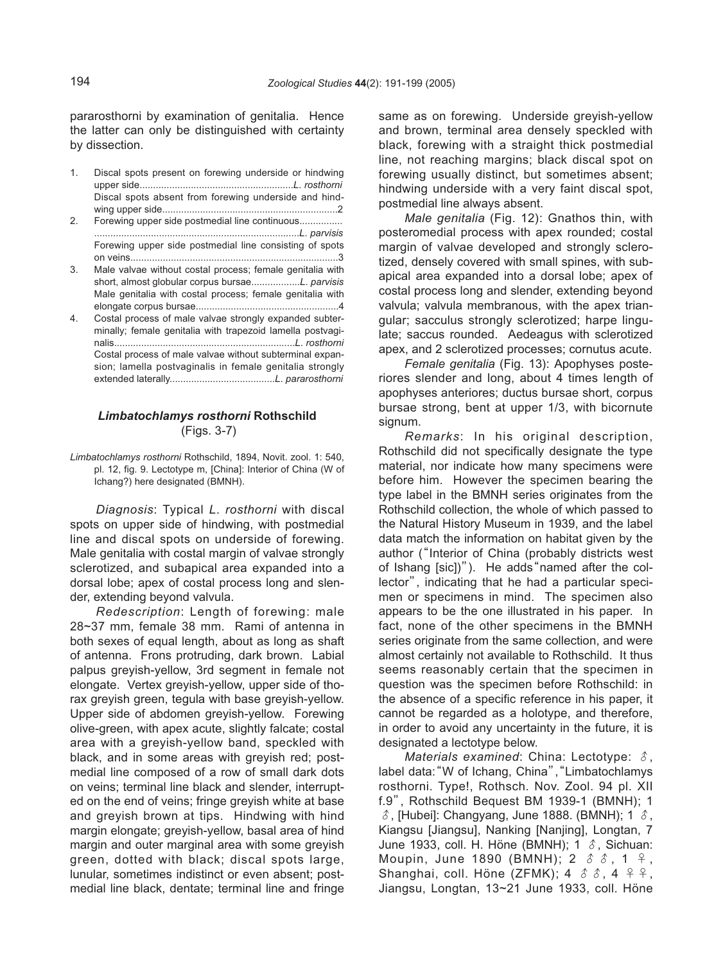pararosthorni by examination of genitalia. Hence the latter can only be distinguished with certainty by dissection.

- 1. Discal spots present on forewing underside or hindwing upper side.........................................................L. rosthorni Discal spots absent from forewing underside and hindwing upper side.................................................................2
- 2. Forewing upper side postmedial line continuous................ ............................................................................L. parvisis Forewing upper side postmedial line consisting of spots on veins.............................................................................3
- 3. Male valvae without costal process; female genitalia with short, almost globular corpus bursae..................L. parvisis Male genitalia with costal process; female genitalia with elongate corpus bursae.....................................................4
- 4. Costal process of male valvae strongly expanded subterminally; female genitalia with trapezoid lamella postvaginalis...................................................................L. rosthorni Costal process of male valvae without subterminal expansion; lamella postvaginalis in female genitalia strongly extended laterally.......................................L. pararosthorni

## **Limbatochlamys rosthorni Rothschild** (Figs. 3-7)

Limbatochlamys rosthorni Rothschild, 1894, Novit. zool. 1: 540, pl. 12, fig. 9. Lectotype m, [China]: Interior of China (W of Ichang?) here designated (BMNH).

Diagnosis: Typical L. rosthorni with discal spots on upper side of hindwing, with postmedial line and discal spots on underside of forewing. Male genitalia with costal margin of valvae strongly sclerotized, and subapical area expanded into a dorsal lobe; apex of costal process long and slender, extending beyond valvula.

Redescription: Length of forewing: male 28~37 mm, female 38 mm. Rami of antenna in both sexes of equal length, about as long as shaft of antenna. Frons protruding, dark brown. Labial palpus greyish-yellow, 3rd segment in female not elongate. Vertex greyish-yellow, upper side of thorax greyish green, tegula with base greyish-yellow. Upper side of abdomen greyish-yellow. Forewing olive-green, with apex acute, slightly falcate; costal area with a greyish-yellow band, speckled with black, and in some areas with greyish red; postmedial line composed of a row of small dark dots on veins; terminal line black and slender, interrupted on the end of veins; fringe greyish white at base and greyish brown at tips. Hindwing with hind margin elongate; greyish-yellow, basal area of hind margin and outer marginal area with some greyish green, dotted with black; discal spots large, lunular, sometimes indistinct or even absent; postmedial line black, dentate; terminal line and fringe

same as on forewing. Underside greyish-yellow and brown, terminal area densely speckled with black, forewing with a straight thick postmedial line, not reaching margins; black discal spot on forewing usually distinct, but sometimes absent; hindwing underside with a very faint discal spot, postmedial line always absent.

Male genitalia (Fig. 12): Gnathos thin, with posteromedial process with apex rounded; costal margin of valvae developed and strongly sclerotized, densely covered with small spines, with subapical area expanded into a dorsal lobe; apex of costal process long and slender, extending beyond valvula; valvula membranous, with the apex triangular; sacculus strongly sclerotized; harpe lingulate; saccus rounded. Aedeagus with sclerotized apex, and 2 sclerotized processes; cornutus acute.

Female genitalia (Fig. 13): Apophyses posteriores slender and long, about 4 times length of apophyses anteriores; ductus bursae short, corpus bursae strong, bent at upper 1/3, with bicornute signum.

Remarks: In his original description, Rothschild did not specifically designate the type material, nor indicate how many specimens were before him. However the specimen bearing the type label in the BMNH series originates from the Rothschild collection, the whole of which passed to the Natural History Museum in 1939, and the label data match the information on habitat given by the author ("Interior of China (probably districts west of Ishang [sic])"). He adds"named after the collector", indicating that he had a particular specimen or specimens in mind. The specimen also appears to be the one illustrated in his paper. In fact, none of the other specimens in the BMNH series originate from the same collection, and were almost certainly not available to Rothschild. It thus seems reasonably certain that the specimen in question was the specimen before Rothschild: in the absence of a specific reference in his paper, it cannot be regarded as a holotype, and therefore, in order to avoid any uncertainty in the future, it is designated a lectotype below.

Materials examined: China: Lectotype:  $\delta$ , label data: "W of Ichang, China", "Limbatochlamys rosthorni. Type!, Rothsch. Nov. Zool. 94 pl. XII f.9", Rothschild Bequest BM 1939-1 (BMNH); 1  $\delta$ , [Hubei]: Changyang, June 1888. (BMNH); 1  $\delta$ , Kiangsu [Jiangsu], Nanking [Nanjing], Longtan, 7 June 1933, coll. H. Höne (BMNH); 1  $\delta$ , Sichuan: Moupin, June 1890 (BMNH); 2  $\delta$   $\delta$ , 1  $\delta$ , Shanghai, coll. Höne (ZFMK); 4  $\delta$   $\delta$ , 4  $\delta$   $\varphi$ , Jiangsu, Longtan, 13~21 June 1933, coll. Höne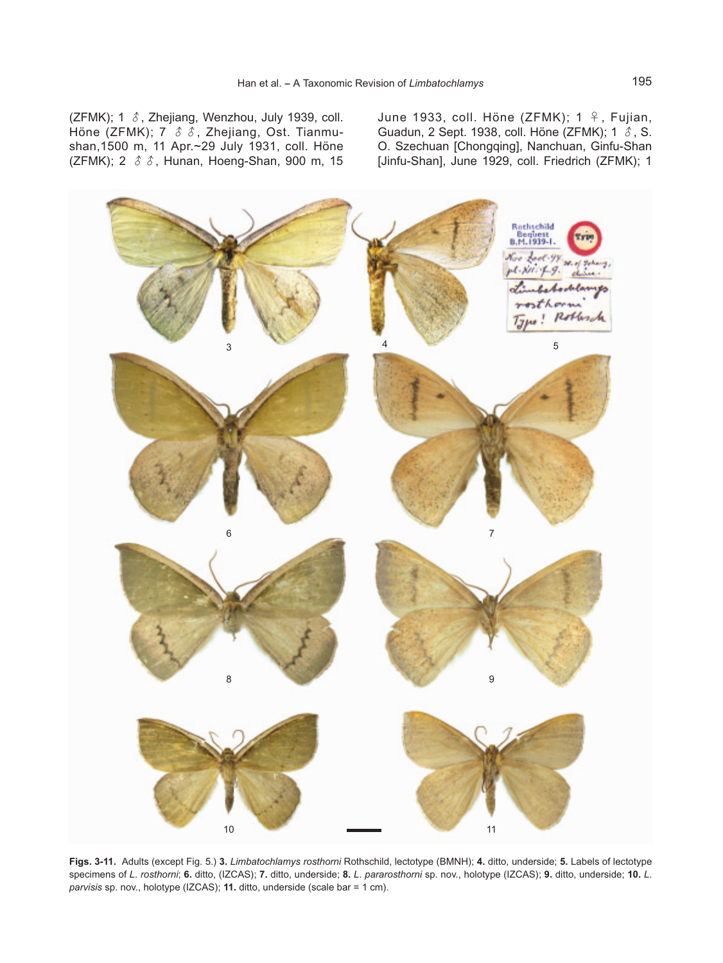(ZFMK); 1  $\delta$ , Zhejiang, Wenzhou, July 1939, coll. Höne (ZFMK); 7  $\delta$   $\delta$ , Zhejiang, Ost. Tianmushan,1500 m, 11 Apr.~29 July 1931, coll. Höne (ZFMK); 2  $\delta$   $\delta$ , Hunan, Hoeng-Shan, 900 m, 15 June 1933, coll. Höne (ZFMK); 1 ♀, Fujian, Guadun, 2 Sept. 1938, coll. Höne (ZFMK); 1 ♂, S. O. Szechuan [Chongqing], Nanchuan, Ginfu-Shan [Jinfu-Shan], June 1929, coll. Friedrich (ZFMK); 1



**Figs. 3-11.** Adults (except Fig. 5.) **3.** Limbatochlamys rosthorni Rothschild, lectotype (BMNH); **4.** ditto, underside; **5.** Labels of lectotype specimens of L. rosthorni; **6.** ditto, (IZCAS); **7.** ditto, underside; **8.** L. pararosthorni sp. nov., holotype (IZCAS); **9.** ditto, underside; **10.** L. parvisis sp. nov., holotype (IZCAS); **11.** ditto, underside (scale bar = 1 cm).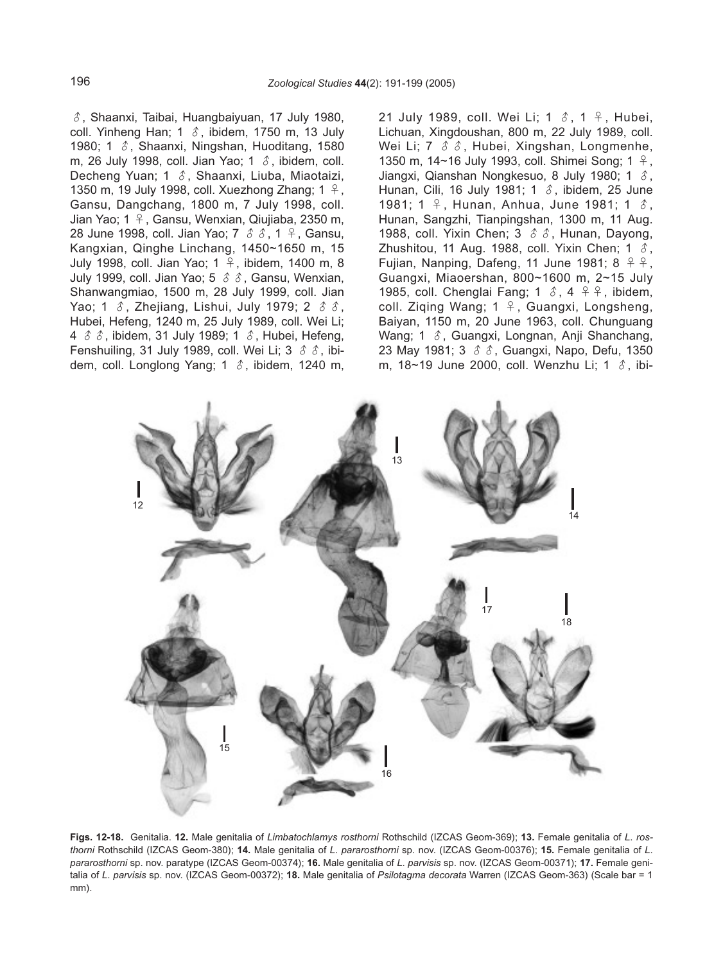$\delta$ , Shaanxi, Taibai, Huangbaiyuan, 17 July 1980, coll. Yinheng Han; 1  $\delta$ , ibidem, 1750 m, 13 July 1980; 1  $\delta$ , Shaanxi, Ningshan, Huoditang, 1580 m, 26 July 1998, coll. Jian Yao; 1  $\delta$ , ibidem, coll. Decheng Yuan; 1 ♂, Shaanxi, Liuba, Miaotaizi, 1350 m, 19 July 1998, coll. Xuezhong Zhang; 1 ♀, Gansu, Dangchang, 1800 m, 7 July 1998, coll. Jian Yao; 1 ♀, Gansu, Wenxian, Qiujiaba, 2350 m, 28 June 1998, coll. Jian Yao; 7  $\delta$   $\delta$ , 1  $\delta$ , Gansu, Kangxian, Qinghe Linchang, 1450~1650 m, 15 July 1998, coll. Jian Yao; 1 ♀, ibidem, 1400 m, 8 July 1999, coll. Jian Yao; 5  $\delta$   $\delta$ , Gansu, Wenxian, Shanwangmiao, 1500 m, 28 July 1999, coll. Jian Yao; 1  $\delta$ , Zhejiang, Lishui, July 1979; 2  $\delta$   $\delta$ , Hubei, Hefeng, 1240 m, 25 July 1989, coll. Wei Li; 4  $\delta$   $\delta$ , ibidem, 31 July 1989; 1  $\delta$ , Hubei, Hefeng, Fenshuiling, 31 July 1989, coll. Wei Li; 3  $\circ$   $\circ$ , ibidem, coll. Longlong Yang; 1  $\delta$ , ibidem, 1240 m,

21 July 1989, coll. Wei Li; 1  $\delta$ , 1  $\beta$ , Hubei, Lichuan, Xingdoushan, 800 m, 22 July 1989, coll. Wei Li; 7  $\delta$   $\delta$ , Hubei, Xingshan, Longmenhe, 1350 m, 14~16 July 1993, coll. Shimei Song; 1 ♀, Jiangxi, Qianshan Nongkesuo, 8 July 1980; 1  $\delta$ , Hunan, Cili, 16 July 1981; 1  $\delta$ , ibidem, 25 June 1981; 1 ♀, Hunan, Anhua, June 1981; 1 ♂, Hunan, Sangzhi, Tianpingshan, 1300 m, 11 Aug. 1988, coll. Yixin Chen; 3  $\delta$   $\delta$ , Hunan, Dayong, Zhushitou, 11 Aug. 1988, coll. Yixin Chen; 1  $\delta$ , Fujian, Nanping, Dafeng, 11 June 1981; 8  $999$ , Guangxi, Miaoershan, 800~1600 m, 2~15 July 1985, coll. Chenglai Fang; 1  $\delta$ , 4  $\beta$   $\beta$ , ibidem, coll. Ziqing Wang; 1 ♀, Guangxi, Longsheng, Baiyan, 1150 m, 20 June 1963, coll. Chunguang Wang; 1 ♂, Guangxi, Longnan, Anji Shanchang, 23 May 1981; 3 ♂♂, Guangxi, Napo, Defu, 1350 m, 18~19 June 2000, coll. Wenzhu Li; 1 ♂, ibi-



**Figs. 12-18.** Genitalia. **12.** Male genitalia of Limbatochlamys rosthorni Rothschild (IZCAS Geom-369); **13.** Female genitalia of L. rosthorni Rothschild (IZCAS Geom-380); **14.** Male genitalia of L. pararosthorni sp. nov. (IZCAS Geom-00376); **15.** Female genitalia of L. pararosthorni sp. nov. paratype (IZCAS Geom-00374); **16.** Male genitalia of L. parvisis sp. nov. (IZCAS Geom-00371); **17.** Female genitalia of L. parvisis sp. nov. (IZCAS Geom-00372); **18.** Male genitalia of Psilotagma decorata Warren (IZCAS Geom-363) (Scale bar = 1 mm).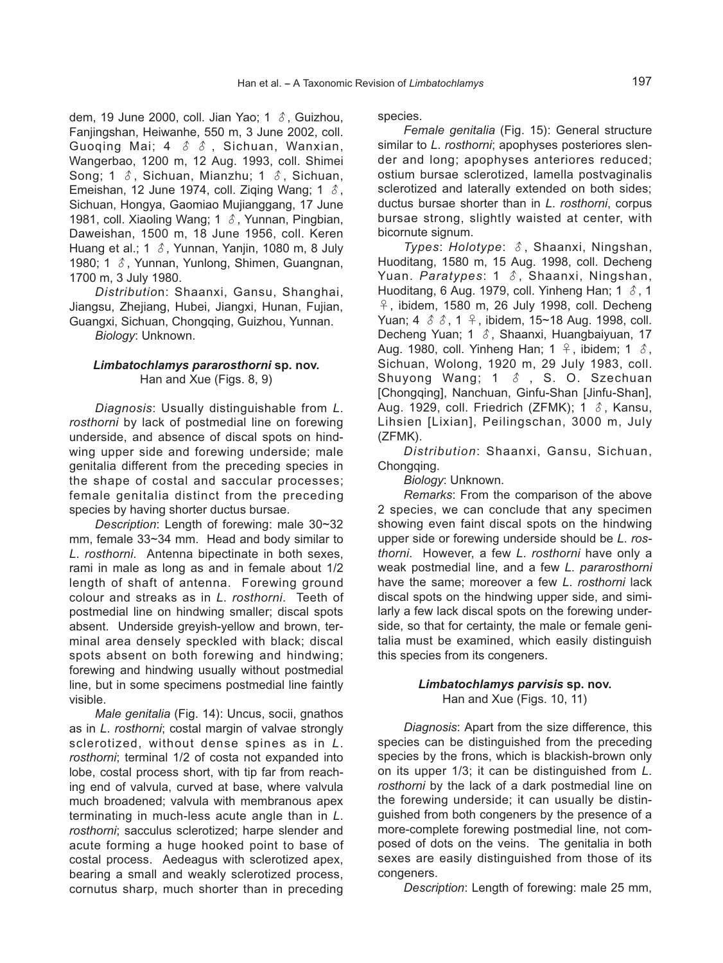dem, 19 June 2000, coll. Jian Yao; 1  $\delta$ , Guizhou, Fanjingshan, Heiwanhe, 550 m, 3 June 2002, coll. Guoqing Mai; 4  $\delta$   $\delta$ , Sichuan, Wanxian, Wangerbao, 1200 m, 12 Aug. 1993, coll. Shimei Song; 1  $\delta$ , Sichuan, Mianzhu; 1  $\delta$ , Sichuan, Emeishan, 12 June 1974, coll. Ziqing Wang; 1  $\delta$ , Sichuan, Hongya, Gaomiao Mujianggang, 17 June 1981, coll. Xiaoling Wang; 1  $\delta$ , Yunnan, Pingbian, Daweishan, 1500 m, 18 June 1956, coll. Keren Huang et al.; 1  $\delta$ , Yunnan, Yanjin, 1080 m, 8 July 1980; 1 ♂, Yunnan, Yunlong, Shimen, Guangnan, 1700 m, 3 July 1980.

Distribution: Shaanxi, Gansu, Shanghai, Jiangsu, Zhejiang, Hubei, Jiangxi, Hunan, Fujian, Guangxi, Sichuan, Chongqing, Guizhou, Yunnan.

# Biology: Unknown.

# **Limbatochlamys pararosthorni sp. nov.** Han and Xue (Figs. 8, 9)

Diagnosis: Usually distinguishable from L. rosthorni by lack of postmedial line on forewing underside, and absence of discal spots on hindwing upper side and forewing underside; male genitalia different from the preceding species in the shape of costal and saccular processes; female genitalia distinct from the preceding species by having shorter ductus bursae.

Description: Length of forewing: male 30~32 mm, female 33~34 mm. Head and body similar to L. rosthorni. Antenna bipectinate in both sexes, rami in male as long as and in female about 1/2 length of shaft of antenna. Forewing ground colour and streaks as in L. rosthorni. Teeth of postmedial line on hindwing smaller; discal spots absent. Underside greyish-yellow and brown, terminal area densely speckled with black; discal spots absent on both forewing and hindwing; forewing and hindwing usually without postmedial line, but in some specimens postmedial line faintly visible.

Male genitalia (Fig. 14): Uncus, socii, gnathos as in L. rosthorni; costal margin of valvae strongly sclerotized, without dense spines as in L. rosthorni; terminal 1/2 of costa not expanded into lobe, costal process short, with tip far from reaching end of valvula, curved at base, where valvula much broadened; valvula with membranous apex terminating in much-less acute angle than in L. rosthorni; sacculus sclerotized; harpe slender and acute forming a huge hooked point to base of costal process. Aedeagus with sclerotized apex, bearing a small and weakly sclerotized process, cornutus sharp, much shorter than in preceding species.

Female genitalia (Fig. 15): General structure similar to L. rosthorni; apophyses posteriores slender and long; apophyses anteriores reduced; ostium bursae sclerotized, lamella postvaginalis sclerotized and laterally extended on both sides; ductus bursae shorter than in L. rosthorni, corpus bursae strong, slightly waisted at center, with bicornute signum.

Types: Holotype: ♂, Shaanxi, Ningshan, Huoditang, 1580 m, 15 Aug. 1998, coll. Decheng Yuan. Paratypes: 1 &, Shaanxi, Ningshan. Huoditang, 6 Aug. 1979, coll. Yinheng Han; 1  $\delta$ , 1 ♀, ibidem, 1580 m, 26 July 1998, coll. Decheng Yuan;  $4 \text{ } \textcircled{3} \text{ } \textcircled{1}$ ,  $9 \textcircled{4}$ , ibidem, 15~18 Aug. 1998, coll. Decheng Yuan; 1 ♂, Shaanxi, Huangbaiyuan, 17 Aug. 1980, coll. Yinheng Han; 1  $\varphi$ , ibidem; 1  $\varphi$ . Sichuan, Wolong, 1920 m, 29 July 1983, coll. Shuyong Wang;  $1 \text{ } \hat{\delta}$ , S. O. Szechuan [Chongqing], Nanchuan, Ginfu-Shan [Jinfu-Shan], Aug. 1929, coll. Friedrich (ZFMK); 1  $\delta$ , Kansu, Lihsien [Lixian], Peilingschan, 3000 m, July (ZFMK).

Distribution: Shaanxi, Gansu, Sichuan, Chongqing.

Biology: Unknown.

Remarks: From the comparison of the above 2 species, we can conclude that any specimen showing even faint discal spots on the hindwing upper side or forewing underside should be L. rosthorni. However, a few L. rosthorni have only a weak postmedial line, and a few L. pararosthorni have the same; moreover a few L. rosthorni lack discal spots on the hindwing upper side, and similarly a few lack discal spots on the forewing underside, so that for certainty, the male or female genitalia must be examined, which easily distinguish this species from its congeners.

# **Limbatochlamys parvisis sp. nov.** Han and Xue (Figs. 10, 11)

Diagnosis: Apart from the size difference, this species can be distinguished from the preceding species by the frons, which is blackish-brown only on its upper 1/3; it can be distinguished from L. rosthorni by the lack of a dark postmedial line on the forewing underside; it can usually be distinguished from both congeners by the presence of a more-complete forewing postmedial line, not composed of dots on the veins. The genitalia in both sexes are easily distinguished from those of its congeners.

Description: Length of forewing: male 25 mm,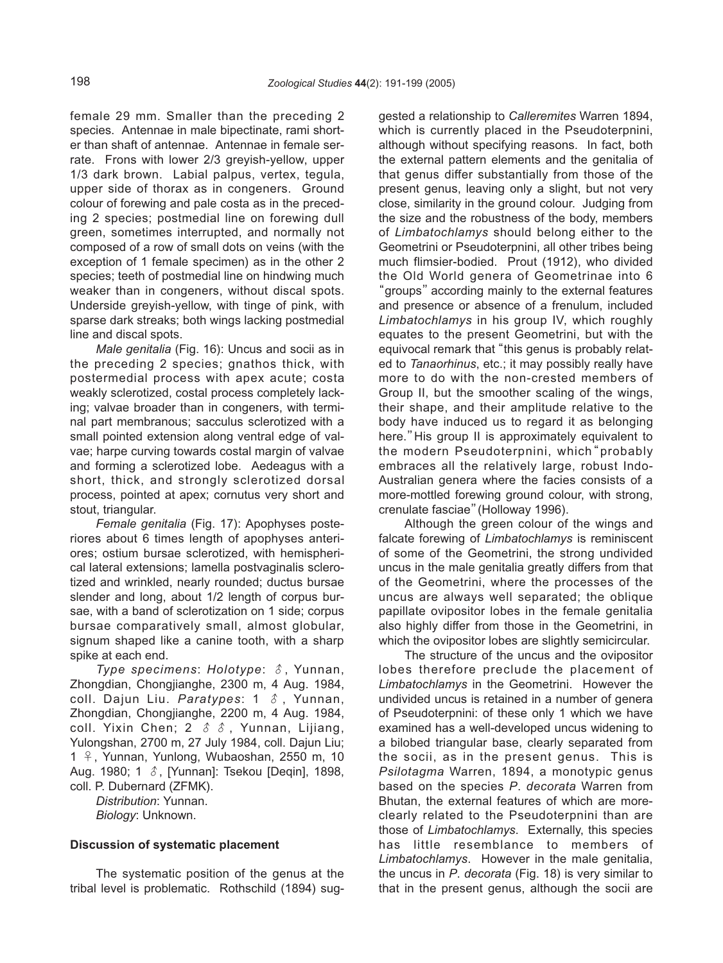female 29 mm. Smaller than the preceding 2 species. Antennae in male bipectinate, rami shorter than shaft of antennae. Antennae in female serrate. Frons with lower 2/3 greyish-yellow, upper 1/3 dark brown. Labial palpus, vertex, tegula, upper side of thorax as in congeners. Ground colour of forewing and pale costa as in the preceding 2 species; postmedial line on forewing dull green, sometimes interrupted, and normally not composed of a row of small dots on veins (with the exception of 1 female specimen) as in the other 2 species; teeth of postmedial line on hindwing much weaker than in congeners, without discal spots. Underside greyish-yellow, with tinge of pink, with sparse dark streaks; both wings lacking postmedial line and discal spots.

Male genitalia (Fig. 16): Uncus and socii as in the preceding 2 species; gnathos thick, with postermedial process with apex acute; costa weakly sclerotized, costal process completely lacking; valvae broader than in congeners, with terminal part membranous; sacculus sclerotized with a small pointed extension along ventral edge of valvae; harpe curving towards costal margin of valvae and forming a sclerotized lobe. Aedeagus with a short, thick, and strongly sclerotized dorsal process, pointed at apex; cornutus very short and stout, triangular.

Female genitalia (Fig. 17): Apophyses posteriores about 6 times length of apophyses anteriores; ostium bursae sclerotized, with hemispherical lateral extensions; lamella postvaginalis sclerotized and wrinkled, nearly rounded; ductus bursae slender and long, about 1/2 length of corpus bursae, with a band of sclerotization on 1 side; corpus bursae comparatively small, almost globular, signum shaped like a canine tooth, with a sharp spike at each end.

Type specimens: Holotype:  $\delta$ , Yunnan, Zhongdian, Chongjianghe, 2300 m, 4 Aug. 1984, coll. Dajun Liu. Paratypes:  $1 \text{ } \textcircled{}$ , Yunnan, Zhongdian, Chongjianghe, 2200 m, 4 Aug. 1984, coll. Yixin Chen; 2  $\delta$   $\delta$ , Yunnan, Lijiang, Yulongshan, 2700 m, 27 July 1984, coll. Dajun Liu; 1 ♀, Yunnan, Yunlong, Wubaoshan, 2550 m, 10 Aug. 1980; 1 ♂, [Yunnan]: Tsekou [Deqin], 1898, coll. P. Dubernard (ZFMK).

Distribution: Yunnan. Biology: Unknown.

#### **Discussion of systematic placement**

The systematic position of the genus at the tribal level is problematic. Rothschild (1894) suggested a relationship to Calleremites Warren 1894, which is currently placed in the Pseudoterpnini, although without specifying reasons. In fact, both the external pattern elements and the genitalia of that genus differ substantially from those of the present genus, leaving only a slight, but not very close, similarity in the ground colour. Judging from the size and the robustness of the body, members of Limbatochlamys should belong either to the Geometrini or Pseudoterpnini, all other tribes being much flimsier-bodied. Prout (1912), who divided the Old World genera of Geometrinae into 6 "groups"according mainly to the external features and presence or absence of a frenulum, included Limbatochlamys in his group IV, which roughly equates to the present Geometrini, but with the equivocal remark that "this genus is probably related to Tanaorhinus, etc.; it may possibly really have more to do with the non-crested members of Group II, but the smoother scaling of the wings, their shape, and their amplitude relative to the body have induced us to regard it as belonging here."His group II is approximately equivalent to the modern Pseudoterpnini, which"probably embraces all the relatively large, robust Indo-Australian genera where the facies consists of a more-mottled forewing ground colour, with strong, crenulate fasciae"(Holloway 1996).

Although the green colour of the wings and falcate forewing of Limbatochlamys is reminiscent of some of the Geometrini, the strong undivided uncus in the male genitalia greatly differs from that of the Geometrini, where the processes of the uncus are always well separated; the oblique papillate ovipositor lobes in the female genitalia also highly differ from those in the Geometrini, in which the ovipositor lobes are slightly semicircular.

The structure of the uncus and the ovipositor lobes therefore preclude the placement of Limbatochlamys in the Geometrini. However the undivided uncus is retained in a number of genera of Pseudoterpnini: of these only 1 which we have examined has a well-developed uncus widening to a bilobed triangular base, clearly separated from the socii, as in the present genus. This is Psilotagma Warren, 1894, a monotypic genus based on the species P. decorata Warren from Bhutan, the external features of which are moreclearly related to the Pseudoterpnini than are those of Limbatochlamys. Externally, this species has little resemblance to members of Limbatochlamys. However in the male genitalia, the uncus in P. decorata (Fig. 18) is very similar to that in the present genus, although the socii are